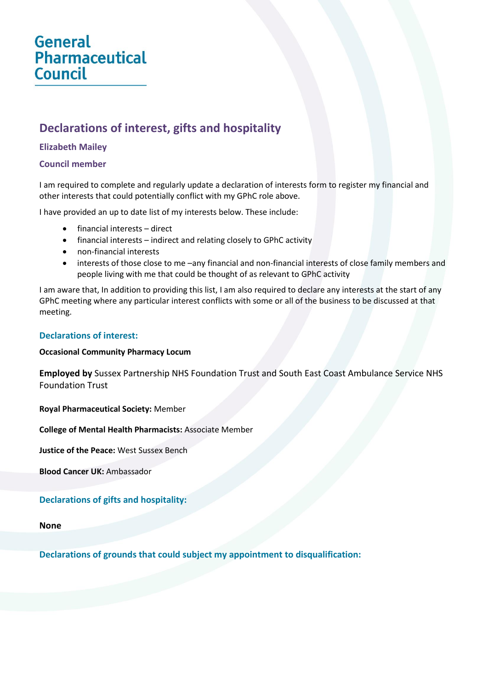# General Pharmaceutical **Council**

# **Declarations of interest, gifts and hospitality**

# **Elizabeth Mailey**

### **Council member**

I am required to complete and regularly update a declaration of interests form to register my financial and other interests that could potentially conflict with my GPhC role above.

I have provided an up to date list of my interests below. These include:

- financial interests direct
- financial interests indirect and relating closely to GPhC activity
- non-financial interests
- interests of those close to me –any financial and non-financial interests of close family members and people living with me that could be thought of as relevant to GPhC activity

I am aware that, In addition to providing this list, I am also required to declare any interests at the start of any GPhC meeting where any particular interest conflicts with some or all of the business to be discussed at that meeting.

#### **Declarations of interest:**

#### **Occasional Community Pharmacy Locum**

**Employed by** Sussex Partnership NHS Foundation Trust and South East Coast Ambulance Service NHS Foundation Trust

**Royal Pharmaceutical Society:** Member

**College of Mental Health Pharmacists:** Associate Member

**Justice of the Peace:** West Sussex Bench

**Blood Cancer UK:** Ambassador

## **Declarations of gifts and hospitality:**

#### **None**

**Declarations of grounds that could subject my appointment to disqualification:**